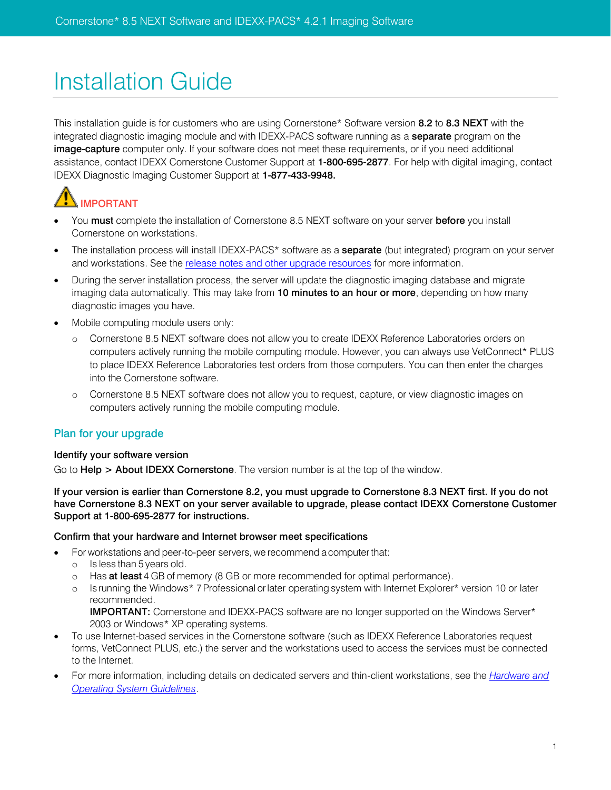# Installation Guide

This installation guide is for customers who are using Cornerstone\* Software version 8.2 to 8.3 NEXT with the integrated diagnostic imaging module and with IDEXX-PACS software running as a **separate** program on the image-capture computer only. If your software does not meet these requirements, or if you need additional assistance, contact IDEXX Cornerstone Customer Support at 1-800-695-2877. For help with digital imaging, contact IDEXX Diagnostic Imaging Customer Support at 1-877-433-9948.

# IMPORTANT

- You must complete the installation of Cornerstone 8.5 NEXT software on your server before you install Cornerstone on workstations.
- The installation process will install IDEXX-PACS\* software as a **separate** (but integrated) program on your server and workstations. See the [release notes and other upgrade resources](http://www.idexx.com/upgrade4) for more information.
- During the server installation process, the server will update the diagnostic imaging database and migrate imaging data automatically. This may take from 10 minutes to an hour or more, depending on how many diagnostic images you have.
- Mobile computing module users only:
	- o Cornerstone 8.5 NEXT software does not allow you to create IDEXX Reference Laboratories orders on computers actively running the mobile computing module. However, you can always use VetConnect\* PLUS to place IDEXX Reference Laboratories test orders from those computers. You can then enter the charges into the Cornerstone software.
	- o Cornerstone 8.5 NEXT software does not allow you to request, capture, or view diagnostic images on computers actively running the mobile computing module.

# Plan for your upgrade

# Identify your software version

Go to Help > About IDEXX Cornerstone. The version number is at the top of the window.

If your version is earlier than Cornerstone 8.2, you must upgrade to Cornerstone 8.3 NEXT first. If you do not have Cornerstone 8.3 NEXT on your server available to upgrade, please contact IDEXX Cornerstone Customer Support at 1-800-695-2877 for instructions.

# Confirm that your hardware and Internet browser meet specifications

- For workstations and peer-to-peer servers, we recommend a computer that:
	- o Is less than 5 years old.
	- o Has at least 4 GB of memory (8 GB or more recommended for optimal performance).
	- o Is running the Windows\* 7Professional orlater operating system with Internet Explorer\* version 10 or later recommended.

IMPORTANT: Cornerstone and IDEXX-PACS software are no longer supported on the Windows Server\* 2003 or Windows\* XP operating systems.

- To use Internet-based services in the Cornerstone software (such as IDEXX Reference Laboratories request forms, VetConnect PLUS, etc.) the server and the workstations used to access the services must be connected to the Internet.
- For more information, including details on dedicated servers and thin-client workstations, see the *[Hardware and](http://www.idexx.com/cornerstonespecifications)  [Operating System Guidelines](http://www.idexx.com/cornerstonespecifications)*.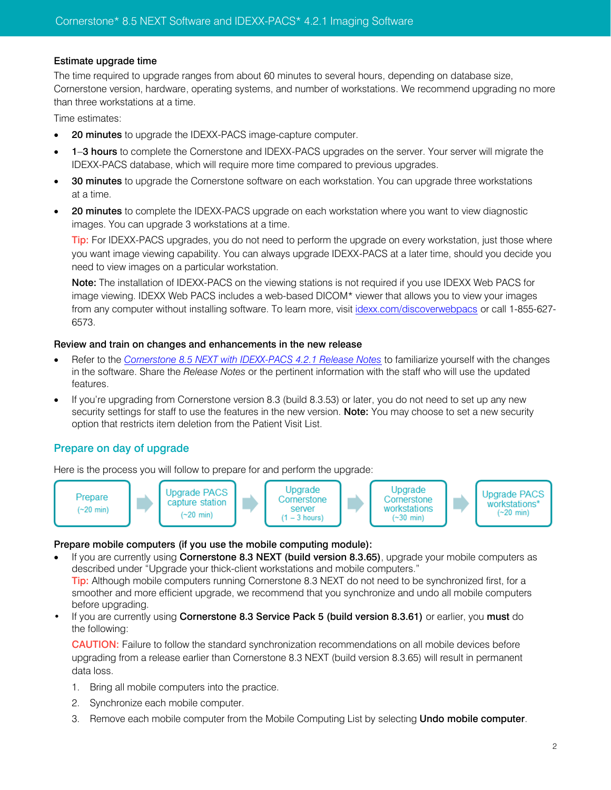### Estimate upgrade time

The time required to upgrade ranges from about 60 minutes to several hours, depending on database size, Cornerstone version, hardware, operating systems, and number of workstations. We recommend upgrading no more than three workstations at a time.

Time estimates:

- 20 minutes to upgrade the IDEXX-PACS image-capture computer.
- 1-3 hours to complete the Cornerstone and IDEXX-PACS upgrades on the server. Your server will migrate the IDEXX-PACS database, which will require more time compared to previous upgrades.
- **30 minutes** to upgrade the Cornerstone software on each workstation. You can upgrade three workstations at a time.
- 20 minutes to complete the IDEXX-PACS upgrade on each workstation where you want to view diagnostic images. You can upgrade 3 workstations at a time.

Tip: For IDEXX-PACS upgrades, you do not need to perform the upgrade on every workstation, just those where you want image viewing capability. You can always upgrade IDEXX-PACS at a later time, should you decide you need to view images on a particular workstation.

Note: The installation of IDEXX-PACS on the viewing stations is not required if you use IDEXX Web PACS for image viewing. IDEXX Web PACS includes a web-based DICOM\* viewer that allows you to view your images from any computer without installing software. To learn more, visit [idexx.com/discoverwebpacs](http://www.idexx.com/discoverwebpacs) or call 1-855-627- 6573.

#### Review and train on changes and enhancements in the new release

- Refer to the *[Cornerstone 8.5](http://www.idexx.com/upgrade4) NEXT with IDEXX-PACS 4.2.1 Release Notes* to familiarize yourself with the changes in the software. Share the *Release Notes* or the pertinent information with the staff who will use the updated features.
- If you're upgrading from Cornerstone version 8.3 (build 8.3.53) or later, you do not need to set up any new security settings for staff to use the features in the new version. Note: You may choose to set a new security option that restricts item deletion from the Patient Visit List.

# Prepare on day of upgrade

Here is the process you will follow to prepare for and perform the upgrade:



#### Prepare mobile computers (if you use the mobile computing module):

If you are currently using Cornerstone 8.3 NEXT (build version 8.3.65), upgrade your mobile computers as described under "Upgrade your thick-client workstations and mobile computers."

Tip: Although mobile computers running Cornerstone 8.3 NEXT do not need to be synchronized first, for a smoother and more efficient upgrade, we recommend that you synchronize and undo all mobile computers before upgrading.

If you are currently using Cornerstone 8.3 Service Pack 5 (build version 8.3.61) or earlier, you must do the following:

CAUTION: Failure to follow the standard synchronization recommendations on all mobile devices before upgrading from a release earlier than Cornerstone 8.3 NEXT (build version 8.3.65) will result in permanent data loss.

- 1. Bring all mobile computers into the practice.
- 2. Synchronize each mobile computer.
- 3. Remove each mobile computer from the Mobile Computing List by selecting Undo mobile computer.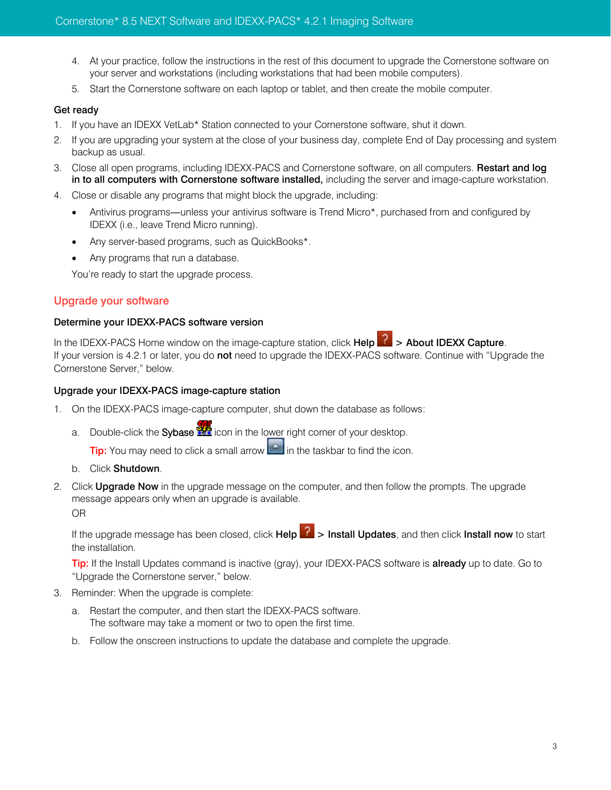- 4. At your practice, follow the instructions in the rest of this document to upgrade the Cornerstone software on your server and workstations (including workstations that had been mobile computers).
- 5. Start the Cornerstone software on each laptop or tablet, and then create the mobile computer.

# Get ready

- 1. If you have an IDEXX VetLab\* Station connected to your Cornerstone software, shut it down.
- 2. If you are upgrading your system at the close of your business day, complete End of Day processing and system backup as usual.
- 3. Close all open programs, including IDEXX-PACS and Cornerstone software, on all computers. Restart and log in to all computers with Cornerstone software installed, including the server and image-capture workstation.
- 4. Close or disable any programs that might block the upgrade, including:
	- Antivirus programs—unless your antivirus software is Trend Micro\*, purchased from and configured by IDEXX (i.e., leave Trend Micro running).
	- Any server-based programs, such as QuickBooks\*.
	- Any programs that run a database.

You're ready to start the upgrade process.

# Upgrade your software

#### Determine your IDEXX-PACS software version

In the IDEXX-PACS Home window on the image-capture station, click Help  $\mathbb{R}$  > About IDEXX Capture. If your version is 4.2.1 or later, you do not need to upgrade the IDEXX-PACS software. Continue with "Upgrade the Cornerstone Server," below.

#### Upgrade your IDEXX-PACS image-capture station

- 1. On the IDEXX-PACS image-capture computer, shut down the database as follows:
	- a. Double-click the **Sybase**  $\mathbb{Z}$  icon in the lower right corner of your desktop.

**Tip:** You may need to click a small arrow  $\Box$  in the taskbar to find the icon.

- b. Click Shutdown.
- 2. Click **Upgrade Now** in the upgrade message on the computer, and then follow the prompts. The upgrade message appears only when an upgrade is available. OR

If the upgrade message has been closed, click Help  $\frac{1}{1}$  > Install Updates, and then click Install now to start the installation.

Tip: If the Install Updates command is inactive (gray), your IDEXX-PACS software is already up to date. Go to "Upgrade the Cornerstone server," below.

- 3. Reminder: When the upgrade is complete:
	- a. Restart the computer, and then start the IDEXX-PACS software. The software may take a moment or two to open the first time.
	- b. Follow the onscreen instructions to update the database and complete the upgrade.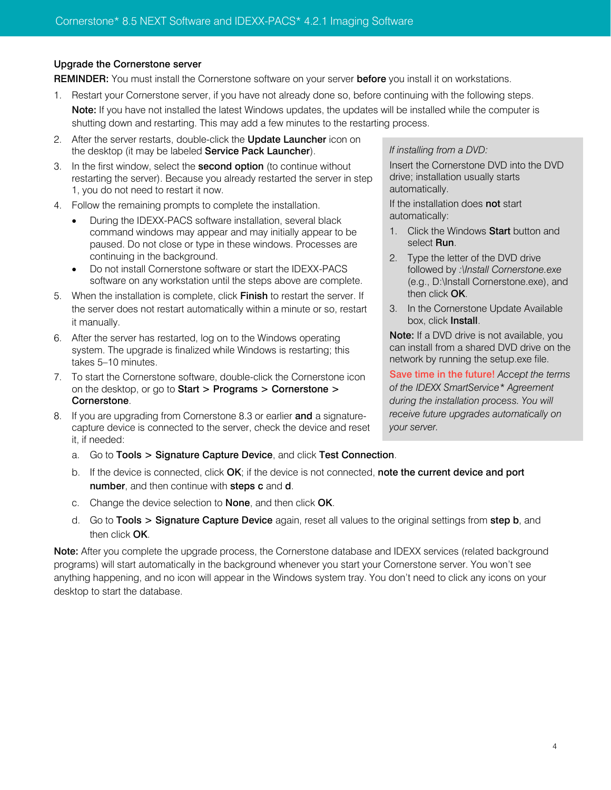### Upgrade the Cornerstone server

REMINDER: You must install the Cornerstone software on your server before you install it on workstations.

- 1. Restart your Cornerstone server, if you have not already done so, before continuing with the following steps. Note: If you have not installed the latest Windows updates, the updates will be installed while the computer is shutting down and restarting. This may add a few minutes to the restarting process.
- 2. After the server restarts, double-click the **Update Launcher** icon on the desktop (it may be labeled Service Pack Launcher).
- 3. In the first window, select the **second option** (to continue without restarting the server). Because you already restarted the server in step 1, you do not need to restart it now.
- 4. Follow the remaining prompts to complete the installation.
	- During the IDEXX-PACS software installation, several black command windows may appear and may initially appear to be paused. Do not close or type in these windows. Processes are continuing in the background.
	- Do not install Cornerstone software or start the IDEXX-PACS software on any workstation until the steps above are complete.
- 5. When the installation is complete, click Finish to restart the server. If the server does not restart automatically within a minute or so, restart it manually.
- 6. After the server has restarted, log on to the Windows operating system. The upgrade is finalized while Windows is restarting; this takes 5–10 minutes.
- 7. To start the Cornerstone software, double-click the Cornerstone icon on the desktop, or go to Start > Programs > Cornerstone > Cornerstone.
- 8. If you are upgrading from Cornerstone 8.3 or earlier and a signaturecapture device is connected to the server, check the device and reset it, if needed:
	- a. Go to Tools > Signature Capture Device, and click Test Connection.

# b. If the device is connected, click OK; if the device is not connected, note the current device and port number, and then continue with steps c and d.

- c. Change the device selection to **None**, and then click **OK**.
- d. Go to Tools > Signature Capture Device again, reset all values to the original settings from step b, and then click OK.

Note: After you complete the upgrade process, the Cornerstone database and IDEXX services (related background programs) will start automatically in the background whenever you start your Cornerstone server. You won't see anything happening, and no icon will appear in the Windows system tray. You don't need to click any icons on your desktop to start the database.

#### *If installing from a DVD:*

Insert the Cornerstone DVD into the DVD drive; installation usually starts automatically.

If the installation does not start automatically:

- 1. Click the Windows Start button and select Run.
- 2. Type the letter of the DVD drive followed by *:\Install Cornerstone.exe* (e.g., D:\Install Cornerstone.exe), and then click OK.
- 3. In the Cornerstone Update Available box, click Install.

Note: If a DVD drive is not available, you can install from a shared DVD drive on the network by running the setup.exe file.

Save time in the future! *Accept the terms of the IDEXX SmartService\* Agreement during the installation process. You will receive future upgrades automatically on your server.*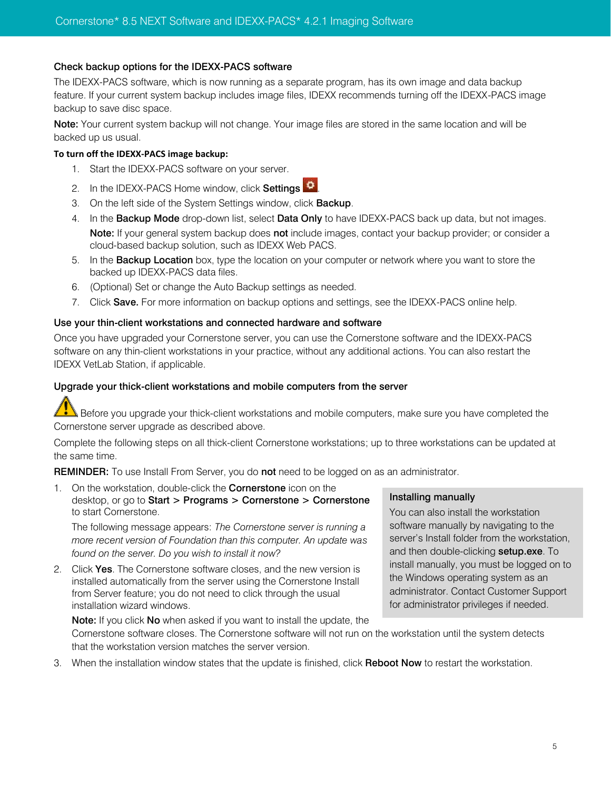### Check backup options for the IDEXX-PACS software

The IDEXX-PACS software, which is now running as a separate program, has its own image and data backup feature. If your current system backup includes image files, IDEXX recommends turning off the IDEXX-PACS image backup to save disc space.

Note: Your current system backup will not change. Your image files are stored in the same location and will be backed up us usual.

#### **To turn off the IDEXX-PACS image backup:**

- 1. Start the IDEXX-PACS software on your server.
- 2. In the IDEXX-PACS Home window, click Settings 3
- 3. On the left side of the System Settings window, click **Backup**.
- 4. In the **Backup Mode** drop-down list, select **Data Only** to have IDEXX-PACS back up data, but not images. Note: If your general system backup does not include images, contact your backup provider; or consider a cloud-based backup solution, such as IDEXX Web PACS.
- 5. In the Backup Location box, type the location on your computer or network where you want to store the backed up IDEXX-PACS data files.
- 6. (Optional) Set or change the Auto Backup settings as needed.
- 7. Click Save. For more information on backup options and settings, see the IDEXX-PACS online help.

#### Use your thin-client workstations and connected hardware and software

Once you have upgraded your Cornerstone server, you can use the Cornerstone software and the IDEXX-PACS software on any thin-client workstations in your practice, without any additional actions. You can also restart the IDEXX VetLab Station, if applicable.

#### Upgrade your thick-client workstations and mobile computers from the server

Before you upgrade your thick-client workstations and mobile computers, make sure you have completed the Cornerstone server upgrade as described above.

Complete the following steps on all thick-client Cornerstone workstations; up to three workstations can be updated at the same time.

Installing manually

You can also install the workstation software manually by navigating to the server's Install folder from the workstation, and then double-clicking setup.exe. To install manually, you must be logged on to the Windows operating system as an administrator. Contact Customer Support for administrator privileges if needed.

REMINDER: To use Install From Server, you do not need to be logged on as an administrator.

1. On the workstation, double-click the **Cornerstone** icon on the desktop, or go to Start > Programs > Cornerstone > Cornerstone to start Cornerstone.

The following message appears: *The Cornerstone server is running a more recent version of Foundation than this computer. An update was found on the server. Do you wish to install it now?*

2. Click Yes. The Cornerstone software closes, and the new version is installed automatically from the server using the Cornerstone Install from Server feature; you do not need to click through the usual installation wizard windows.

Note: If you click No when asked if you want to install the update, the Cornerstone software closes. The Cornerstone software will not run on the workstation until the system detects that the workstation version matches the server version.

3. When the installation window states that the update is finished, click Reboot Now to restart the workstation.